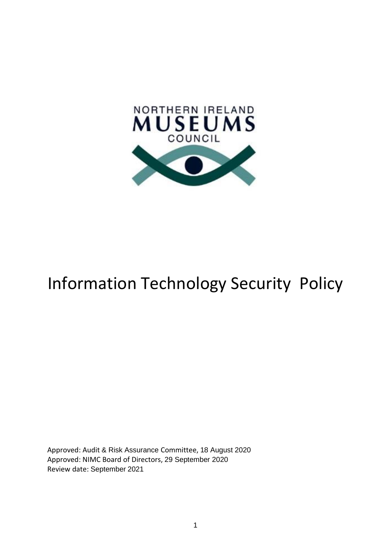

# Information Technology Security Policy

Approved: Audit & Risk Assurance Committee, 18 August 2020 Approved: NIMC Board of Directors, 29 September 2020 Review date: September 2021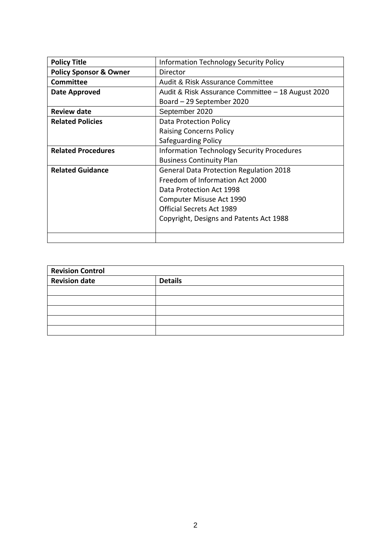| <b>Policy Title</b>               | <b>Information Technology Security Policy</b>     |
|-----------------------------------|---------------------------------------------------|
| <b>Policy Sponsor &amp; Owner</b> | Director                                          |
| <b>Committee</b>                  | Audit & Risk Assurance Committee                  |
| <b>Date Approved</b>              | Audit & Risk Assurance Committee - 18 August 2020 |
|                                   | Board – 29 September 2020                         |
| <b>Review date</b>                | September 2020                                    |
| <b>Related Policies</b>           | Data Protection Policy                            |
|                                   | <b>Raising Concerns Policy</b>                    |
|                                   | Safeguarding Policy                               |
| <b>Related Procedures</b>         | <b>Information Technology Security Procedures</b> |
|                                   | <b>Business Continuity Plan</b>                   |
| <b>Related Guidance</b>           | <b>General Data Protection Regulation 2018</b>    |
|                                   | Freedom of Information Act 2000                   |
|                                   | Data Protection Act 1998                          |
|                                   | Computer Misuse Act 1990                          |
|                                   | <b>Official Secrets Act 1989</b>                  |
|                                   | Copyright, Designs and Patents Act 1988           |
|                                   |                                                   |
|                                   |                                                   |

| <b>Revision Control</b> |                |
|-------------------------|----------------|
| <b>Revision date</b>    | <b>Details</b> |
|                         |                |
|                         |                |
|                         |                |
|                         |                |
|                         |                |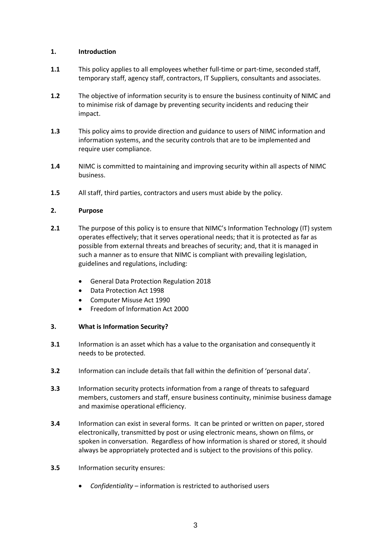# **1. Introduction**

- **1.1** This policy applies to all employees whether full-time or part-time, seconded staff, temporary staff, agency staff, contractors, IT Suppliers, consultants and associates.
- **1.2** The objective of information security is to ensure the business continuity of NIMC and to minimise risk of damage by preventing security incidents and reducing their impact.
- **1.3** This policy aims to provide direction and guidance to users of NIMC information and information systems, and the security controls that are to be implemented and require user compliance.
- **1.4** NIMC is committed to maintaining and improving security within all aspects of NIMC business.
- **1.5** All staff, third parties, contractors and users must abide by the policy.

# **2. Purpose**

- **2.1** The purpose of this policy is to ensure that NIMC's Information Technology (IT) system operates effectively; that it serves operational needs; that it is protected as far as possible from external threats and breaches of security; and, that it is managed in such a manner as to ensure that NIMC is compliant with prevailing legislation, guidelines and regulations, including:
	- General Data Protection Regulation 2018
	- Data Protection Act 1998
	- Computer Misuse Act 1990
	- Freedom of Information Act 2000

## **3. What is Information Security?**

- **3.1** Information is an asset which has a value to the organisation and consequently it needs to be protected.
- **3.2** Information can include details that fall within the definition of 'personal data'.
- **3.3** Information security protects information from a range of threats to safeguard members, customers and staff, ensure business continuity, minimise business damage and maximise operational efficiency.
- **3.4** Information can exist in several forms. It can be printed or written on paper, stored electronically, transmitted by post or using electronic means, shown on films, or spoken in conversation. Regardless of how information is shared or stored, it should always be appropriately protected and is subject to the provisions of this policy.
- **3.5** Information security ensures:
	- *Confidentiality* information is restricted to authorised users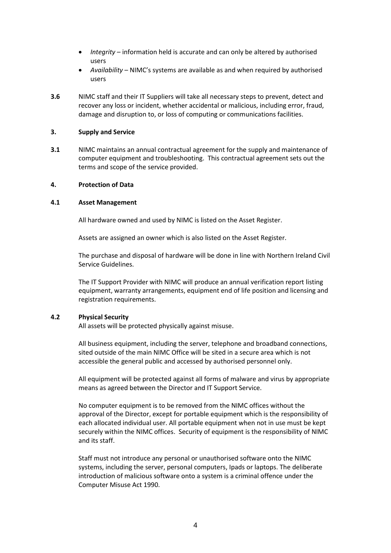- *Integrity* information held is accurate and can only be altered by authorised users
- *Availability* NIMC's systems are available as and when required by authorised users
- **3.6** NIMC staff and their IT Suppliers will take all necessary steps to prevent, detect and recover any loss or incident, whether accidental or malicious, including error, fraud, damage and disruption to, or loss of computing or communications facilities.

## **3. Supply and Service**

**3.1** NIMC maintains an annual contractual agreement for the supply and maintenance of computer equipment and troubleshooting. This contractual agreement sets out the terms and scope of the service provided.

## **4. Protection of Data**

## **4.1 Asset Management**

All hardware owned and used by NIMC is listed on the Asset Register.

Assets are assigned an owner which is also listed on the Asset Register.

The purchase and disposal of hardware will be done in line with Northern Ireland Civil Service Guidelines.

The IT Support Provider with NIMC will produce an annual verification report listing equipment, warranty arrangements, equipment end of life position and licensing and registration requirements.

## **4.2 Physical Security**

All assets will be protected physically against misuse.

All business equipment, including the server, telephone and broadband connections, sited outside of the main NIMC Office will be sited in a secure area which is not accessible the general public and accessed by authorised personnel only.

All equipment will be protected against all forms of malware and virus by appropriate means as agreed between the Director and IT Support Service.

No computer equipment is to be removed from the NIMC offices without the approval of the Director, except for portable equipment which is the responsibility of each allocated individual user. All portable equipment when not in use must be kept securely within the NIMC offices. Security of equipment is the responsibility of NIMC and its staff.

Staff must not introduce any personal or unauthorised software onto the NIMC systems, including the server, personal computers, Ipads or laptops. The deliberate introduction of malicious software onto a system is a criminal offence under the Computer Misuse Act 1990.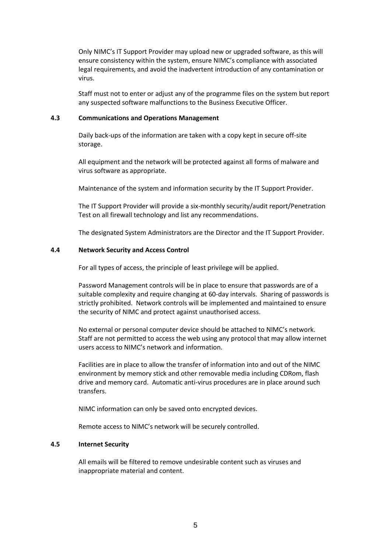Only NIMC's IT Support Provider may upload new or upgraded software, as this will ensure consistency within the system, ensure NIMC's compliance with associated legal requirements, and avoid the inadvertent introduction of any contamination or virus.

Staff must not to enter or adjust any of the programme files on the system but report any suspected software malfunctions to the Business Executive Officer.

## **4.3 Communications and Operations Management**

Daily back-ups of the information are taken with a copy kept in secure off-site storage.

All equipment and the network will be protected against all forms of malware and virus software as appropriate.

Maintenance of the system and information security by the IT Support Provider.

The IT Support Provider will provide a six-monthly security/audit report/Penetration Test on all firewall technology and list any recommendations.

The designated System Administrators are the Director and the IT Support Provider.

## **4.4 Network Security and Access Control**

For all types of access, the principle of least privilege will be applied.

Password Management controls will be in place to ensure that passwords are of a suitable complexity and require changing at 60-day intervals. Sharing of passwords is strictly prohibited. Network controls will be implemented and maintained to ensure the security of NIMC and protect against unauthorised access.

No external or personal computer device should be attached to NIMC's network. Staff are not permitted to access the web using any protocol that may allow internet users access to NIMC's network and information.

Facilities are in place to allow the transfer of information into and out of the NIMC environment by memory stick and other removable media including CDRom, flash drive and memory card. Automatic anti-virus procedures are in place around such transfers.

NIMC information can only be saved onto encrypted devices.

Remote access to NIMC's network will be securely controlled.

## **4.5 Internet Security**

All emails will be filtered to remove undesirable content such as viruses and inappropriate material and content.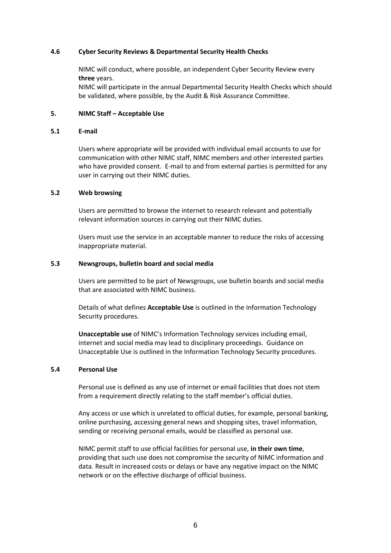## **4.6 Cyber Security Reviews & Departmental Security Health Checks**

NIMC will conduct, where possible, an independent Cyber Security Review every **three** years.

NIMC will participate in the annual Departmental Security Health Checks which should be validated, where possible, by the Audit & Risk Assurance Committee.

## **5. NIMC Staff – Acceptable Use**

#### **5.1 E-mail**

Users where appropriate will be provided with individual email accounts to use for communication with other NIMC staff, NIMC members and other interested parties who have provided consent. E-mail to and from external parties is permitted for any user in carrying out their NIMC duties.

## **5.2 Web browsing**

Users are permitted to browse the internet to research relevant and potentially relevant information sources in carrying out their NIMC duties.

Users must use the service in an acceptable manner to reduce the risks of accessing inappropriate material.

## **5.3 Newsgroups, bulletin board and social media**

Users are permitted to be part of Newsgroups, use bulletin boards and social media that are associated with NIMC business.

Details of what defines **Acceptable Use** is outlined in the Information Technology Security procedures.

**Unacceptable use** of NIMC's Information Technology services including email, internet and social media may lead to disciplinary proceedings. Guidance on Unacceptable Use is outlined in the Information Technology Security procedures.

## **5.4 Personal Use**

Personal use is defined as any use of internet or email facilities that does not stem from a requirement directly relating to the staff member's official duties.

Any access or use which is unrelated to official duties, for example, personal banking, online purchasing, accessing general news and shopping sites, travel information, sending or receiving personal emails, would be classified as personal use.

NIMC permit staff to use official facilities for personal use, **in their own time**, providing that such use does not compromise the security of NIMC information and data. Result in increased costs or delays or have any negative impact on the NIMC network or on the effective discharge of official business.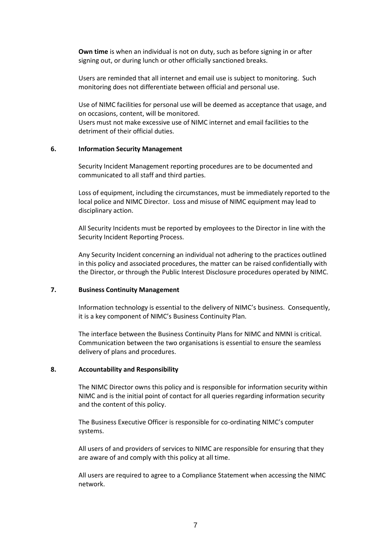**Own time** is when an individual is not on duty, such as before signing in or after signing out, or during lunch or other officially sanctioned breaks.

Users are reminded that all internet and email use is subject to monitoring. Such monitoring does not differentiate between official and personal use.

Use of NIMC facilities for personal use will be deemed as acceptance that usage, and on occasions, content, will be monitored. Users must not make excessive use of NIMC internet and email facilities to the detriment of their official duties.

## **6. Information Security Management**

Security Incident Management reporting procedures are to be documented and communicated to all staff and third parties.

Loss of equipment, including the circumstances, must be immediately reported to the local police and NIMC Director. Loss and misuse of NIMC equipment may lead to disciplinary action.

All Security Incidents must be reported by employees to the Director in line with the Security Incident Reporting Process.

Any Security Incident concerning an individual not adhering to the practices outlined in this policy and associated procedures, the matter can be raised confidentially with the Director, or through the Public Interest Disclosure procedures operated by NIMC.

## **7. Business Continuity Management**

Information technology is essential to the delivery of NIMC's business. Consequently, it is a key component of NIMC's Business Continuity Plan.

The interface between the Business Continuity Plans for NIMC and NMNI is critical. Communication between the two organisations is essential to ensure the seamless delivery of plans and procedures.

## **8. Accountability and Responsibility**

The NIMC Director owns this policy and is responsible for information security within NIMC and is the initial point of contact for all queries regarding information security and the content of this policy.

The Business Executive Officer is responsible for co-ordinating NIMC's computer systems.

All users of and providers of services to NIMC are responsible for ensuring that they are aware of and comply with this policy at all time.

All users are required to agree to a Compliance Statement when accessing the NIMC network.